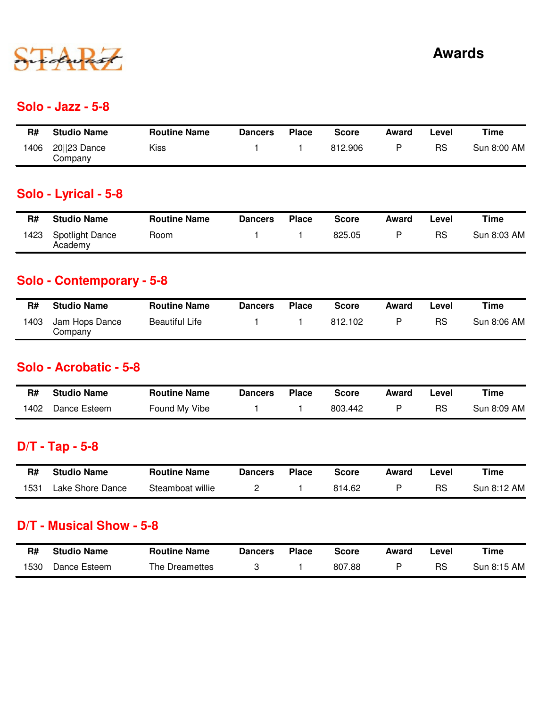

#### **Solo - Jazz - 5-8**

| R#  | <b>Studio Name</b>      | <b>Routine Name</b> | <b>Dancers</b> | Place | Score   | Award | ∟evel     | Time        |
|-----|-------------------------|---------------------|----------------|-------|---------|-------|-----------|-------------|
| 406 | 20  23 Dance<br>Company | Kiss                |                |       | 812.906 | D     | <b>RS</b> | Sun 8:00 AM |

## **Solo - Lyrical - 5-8**

| R#   | <b>Studio Name</b>                | <b>Routine Name</b> | <b>Dancers</b> | <b>Place</b> | Score  | Award | Level     | Time        |
|------|-----------------------------------|---------------------|----------------|--------------|--------|-------|-----------|-------------|
| 1423 | <b>Spotlight Dance</b><br>Academy | Room                |                |              | 825.05 |       | <b>RS</b> | Sun 8:03 AM |

### **Solo - Contemporary - 5-8**

| R#   | <b>Studio Name</b>        | <b>Routine Name</b>   | <b>Dancers</b> | <b>Place</b> | <b>Score</b> | Award | Level | Time        |
|------|---------------------------|-----------------------|----------------|--------------|--------------|-------|-------|-------------|
| 1403 | Jam Hops Dance<br>Company | <b>Beautiful Life</b> |                |              | 812.102      |       | RS    | Sun 8:06 AM |

#### **Solo - Acrobatic - 5-8**

| R#   | <b>Studio Name</b> | <b>Routine Name</b> | Dancers | Place | <b>Score</b> | Award | _evel | Time        |
|------|--------------------|---------------------|---------|-------|--------------|-------|-------|-------------|
| 1402 | Dance Esteem       | Found My Vibe       |         |       | 803.442      |       | RS    | Sun 8:09 AM |

## **D/T - Tap - 5-8**

| R#   | <b>Studio Name</b> | <b>Routine Name</b> | <b>Dancers</b> | <b>Place</b> | Score  | Award | .evel | Time        |
|------|--------------------|---------------------|----------------|--------------|--------|-------|-------|-------------|
| 1531 | Lake Shore Dance   | Steamboat willie    |                |              | 814.62 |       | RS    | Sun 8:12 AM |

#### **D/T - Musical Show - 5-8**

| R#   | <b>Studio Name</b> | <b>Routine Name</b> | Dancers | <b>Place</b> | <b>Score</b> | Award | ∟evel | Time        |
|------|--------------------|---------------------|---------|--------------|--------------|-------|-------|-------------|
| 1530 | Dance Esteem       | The Dreamettes      |         |              | 807.88       |       | RS    | Sun 8:15 AM |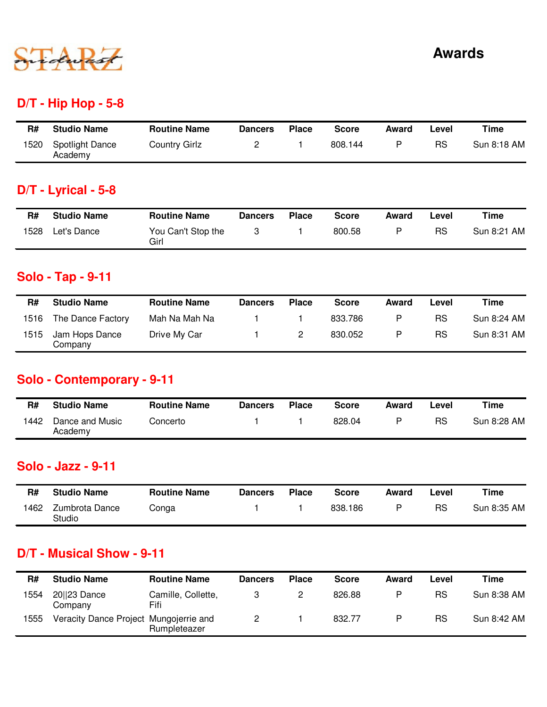

### **D/T - Hip Hop - 5-8**

| R#   | <b>Studio Name</b>                | <b>Routine Name</b>  | <b>Dancers</b> | <b>Place</b> | <b>Score</b> | Award | Level     | Time        |
|------|-----------------------------------|----------------------|----------------|--------------|--------------|-------|-----------|-------------|
| 1520 | <b>Spotlight Dance</b><br>Academy | <b>Country Girlz</b> |                |              | 808.144      |       | <b>RS</b> | Sun 8:18 AM |

## **D/T - Lyrical - 5-8**

| R#   | <b>Studio Name</b> | <b>Routine Name</b>        | <b>Dancers</b> | <b>Place</b> | <b>Score</b> | Award | ∟evel | Time        |
|------|--------------------|----------------------------|----------------|--------------|--------------|-------|-------|-------------|
| 1528 | Let's Dance        | You Can't Stop the<br>Girl |                |              | 800.58       |       | RS    | Sun 8:21 AM |

### **Solo - Tap - 9-11**

| R#   | <b>Studio Name</b>        | <b>Routine Name</b> | <b>Dancers</b> | <b>Place</b> | <b>Score</b> | Award | Level | Time        |
|------|---------------------------|---------------------|----------------|--------------|--------------|-------|-------|-------------|
| 1516 | The Dance Factory         | Mah Na Mah Na       |                |              | 833.786      | P     | RS    | Sun 8:24 AM |
| 1515 | Jam Hops Dance<br>Company | Drive My Car        |                |              | 830.052      | P     | RS    | Sun 8:31 AM |

### **Solo - Contemporary - 9-11**

| R#   | <b>Studio Name</b>         | <b>Routine Name</b> | <b>Dancers</b> | <b>Place</b> | Score  | Award | Level     | Time        |
|------|----------------------------|---------------------|----------------|--------------|--------|-------|-----------|-------------|
| 1442 | Dance and Music<br>Academy | Concerto            |                |              | 828.04 |       | <b>RS</b> | Sun 8:28 AM |

#### **Solo - Jazz - 9-11**

| R#  | <b>Studio Name</b>       | <b>Routine Name</b> | <b>Dancers</b> | Place | <b>Score</b> | Award | -evel | Time        |
|-----|--------------------------|---------------------|----------------|-------|--------------|-------|-------|-------------|
| 462 | Zumbrota Dance<br>Studio | Conga               |                |       | 838.186      | D     | RS    | Sun 8:35 AM |

### **D/T - Musical Show - 9-11**

| R#   | <b>Studio Name</b>                     | <b>Routine Name</b>        | <b>Dancers</b> | <b>Place</b> | <b>Score</b> | Award | Level | Time        |
|------|----------------------------------------|----------------------------|----------------|--------------|--------------|-------|-------|-------------|
| 1554 | 20  23 Dance<br>Companv                | Camille, Collette,<br>Fifi |                |              | 826.88       | P     | RS    | Sun 8:38 AM |
| 1555 | Veracity Dance Project Mungojerrie and | Rumpleteazer               |                |              | 832.77       | P     | RS    | Sun 8:42 AM |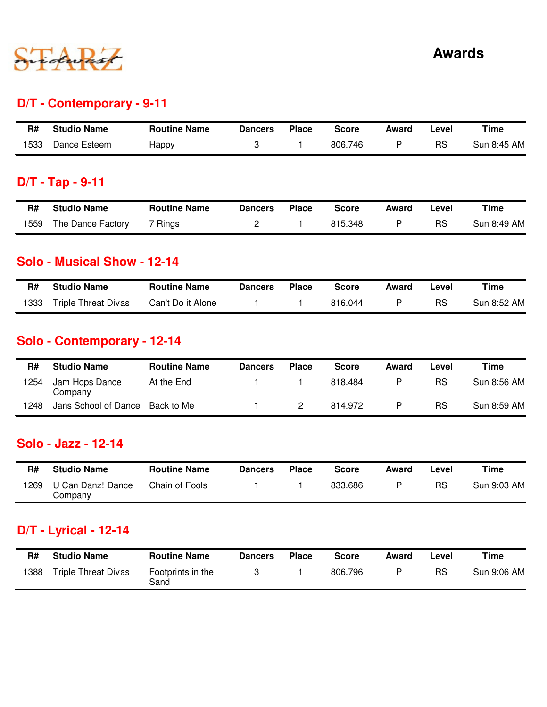

### **D/T - Contemporary - 9-11**

| R#   | <b>Studio Name</b> | <b>Routine Name</b> | <b>Dancers</b> | <b>Place</b> | Score   | Award | .evel | Time        |
|------|--------------------|---------------------|----------------|--------------|---------|-------|-------|-------------|
| 1533 | Dance Esteem       | Нарру               |                |              | 806.746 |       | RS    | Sun 8:45 AM |

## **D/T - Tap - 9-11**

| R#   | <b>Studio Name</b> | <b>Routine Name</b> | <b>Dancers</b> | <b>Place</b> | <b>Score</b> | Award | Level     | Time        |
|------|--------------------|---------------------|----------------|--------------|--------------|-------|-----------|-------------|
| 1559 | The Dance Factory  | <sup>7</sup> Rings  |                |              | 815.348      |       | <b>RS</b> | Sun 8:49 AM |

#### **Solo - Musical Show - 12-14**

| R#   | <b>Studio Name</b>         | <b>Routine Name</b> | Dancers | <b>Place</b> | Score   | Award | ∟evel | Time        |
|------|----------------------------|---------------------|---------|--------------|---------|-------|-------|-------------|
| 1333 | <b>Triple Threat Divas</b> | Can't Do it Alone   |         |              | 816.044 |       | RS    | Sun 8:52 AM |

## **Solo - Contemporary - 12-14**

| R#   | <b>Studio Name</b>        | <b>Routine Name</b> | <b>Dancers</b> | <b>Place</b> | <b>Score</b> | Award | Level | Time        |
|------|---------------------------|---------------------|----------------|--------------|--------------|-------|-------|-------------|
| 1254 | Jam Hops Dance<br>Company | At the End          |                |              | 818.484      | P     | RS    | Sun 8:56 AM |
| 1248 | Jans School of Dance      | Back to Me          |                |              | 814.972      | P     | RS    | Sun 8:59 AM |

#### **Solo - Jazz - 12-14**

| R#   | <b>Studio Name</b>           | <b>Routine Name</b> | Dancers | <b>Place</b> | Score   | Award | ∟evel | Time        |
|------|------------------------------|---------------------|---------|--------------|---------|-------|-------|-------------|
| 1269 | U Can Danz! Dance<br>Company | Chain of Fools      |         |              | 833.686 | D     | RS    | Sun 9:03 AM |

### **D/T - Lyrical - 12-14**

| R#   | <b>Studio Name</b>         | <b>Routine Name</b>       | <b>Dancers</b> | <b>Place</b> | <b>Score</b> | Award | ∟evel | Time        |
|------|----------------------------|---------------------------|----------------|--------------|--------------|-------|-------|-------------|
| 1388 | <b>Triple Threat Divas</b> | Footprints in the<br>Sand |                |              | 806.796      |       | RS    | Sun 9:06 AM |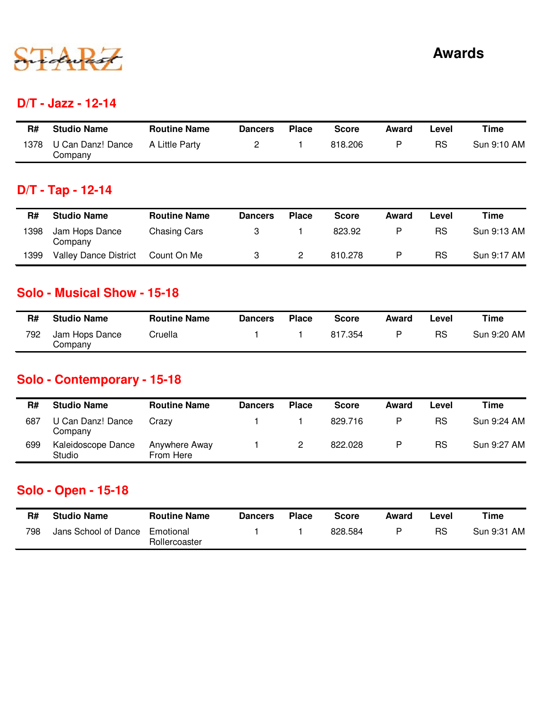

#### **D/T - Jazz - 12-14**

| R#   | <b>Studio Name</b>           | <b>Routine Name</b> | <b>Dancers</b> | <b>Place</b> | <b>Score</b> | Award | Level | Time        |
|------|------------------------------|---------------------|----------------|--------------|--------------|-------|-------|-------------|
| 1378 | U Can Danz! Dance<br>Company | A Little Party      |                |              | 818.206      | D     | RS    | Sun 9:10 AM |

## **D/T - Tap - 12-14**

| R#   | <b>Studio Name</b>           | <b>Routine Name</b> | <b>Dancers</b> | <b>Place</b> | <b>Score</b> | Award | Level | Time        |
|------|------------------------------|---------------------|----------------|--------------|--------------|-------|-------|-------------|
| 1398 | Jam Hops Dance<br>Company    | Chasing Cars        |                |              | 823.92       | P     | RS    | Sun 9:13 AM |
| 1399 | <b>Valley Dance District</b> | Count On Me         |                |              | 810.278      | P     | RS    | Sun 9:17 AM |

#### **Solo - Musical Show - 15-18**

| R#  | <b>Studio Name</b>        | <b>Routine Name</b> | Dancers | <b>Place</b> | <b>Score</b> | Award | -evel | Time        |
|-----|---------------------------|---------------------|---------|--------------|--------------|-------|-------|-------------|
| 792 | Jam Hops Dance<br>Company | Cruella             |         |              | 817.354      |       | RS    | Sun 9:20 AM |

### **Solo - Contemporary - 15-18**

| R#  | <b>Studio Name</b>           | <b>Routine Name</b>        | <b>Dancers</b> | <b>Place</b> | <b>Score</b> | Award | Level | Time        |
|-----|------------------------------|----------------------------|----------------|--------------|--------------|-------|-------|-------------|
| 687 | U Can Danz! Dance<br>Company | Crazv                      |                |              | 829.716      | P     | RS    | Sun 9:24 AM |
| 699 | Kaleidoscope Dance<br>Studio | Anywhere Away<br>From Here |                |              | 822.028      | P     | RS    | Sun 9:27 AM |

### **Solo - Open - 15-18**

| R#  | <b>Studio Name</b>   | <b>Routine Name</b>        | <b>Dancers</b> | <b>Place</b> | Score   | Award | Level | Time        |
|-----|----------------------|----------------------------|----------------|--------------|---------|-------|-------|-------------|
| 798 | Jans School of Dance | Emotional<br>Rollercoaster |                |              | 828.584 | D     | RS    | Sun 9:31 AM |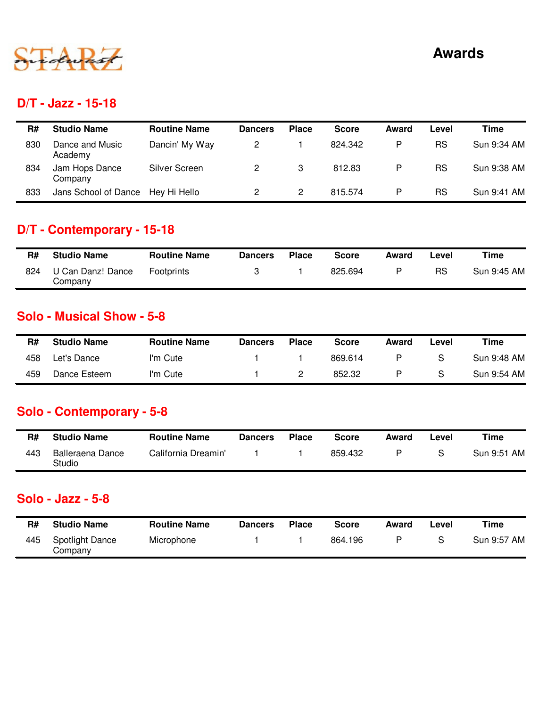

#### **D/T - Jazz - 15-18**

| R#  | <b>Studio Name</b>         | <b>Routine Name</b> | <b>Dancers</b> | <b>Place</b> | <b>Score</b> | Award | Level     | Time        |
|-----|----------------------------|---------------------|----------------|--------------|--------------|-------|-----------|-------------|
| 830 | Dance and Music<br>Academy | Dancin' My Way      |                |              | 824.342      | P     | RS        | Sun 9:34 AM |
| 834 | Jam Hops Dance<br>Company  | Silver Screen       |                | 3            | 812.83       | P     | <b>RS</b> | Sun 9:38 AM |
| 833 | Jans School of Dance       | Hey Hi Hello        |                |              | 815.574      | P     | RS        | Sun 9:41 AM |

### **D/T - Contemporary - 15-18**

| R#  | <b>Studio Name</b>           | <b>Routine Name</b> | <b>Dancers</b> | <b>Place</b> | <b>Score</b> | Award | _evel | Time        |
|-----|------------------------------|---------------------|----------------|--------------|--------------|-------|-------|-------------|
| 824 | U Can Danz! Dance<br>Company | Footprints          |                |              | 825.694      | D     | RS    | Sun 9:45 AM |

#### **Solo - Musical Show - 5-8**

| R#  | <b>Studio Name</b> | <b>Routine Name</b> | <b>Dancers</b> | <b>Place</b> | <b>Score</b> | Award | -evel | Time        |
|-----|--------------------|---------------------|----------------|--------------|--------------|-------|-------|-------------|
| 458 | Let's Dance        | I'm Cute            |                |              | 869.614      | P     | S     | Sun 9:48 AM |
| 459 | Dance Esteem       | I'm Cute            |                |              | 852.32       |       | S     | Sun 9:54 AM |

## **Solo - Contemporary - 5-8**

| R#  | <b>Studio Name</b>         | <b>Routine Name</b> | <b>Dancers</b> | <b>Place</b> | <b>Score</b> | Award | Level | Time        |
|-----|----------------------------|---------------------|----------------|--------------|--------------|-------|-------|-------------|
| 443 | Balleraena Dance<br>Studio | California Dreamin' |                |              | 859.432      |       |       | Sun 9:51 AM |

#### **Solo - Jazz - 5-8**

| R#  | <b>Studio Name</b>                | <b>Routine Name</b> | <b>Dancers</b> | <b>Place</b> | <b>Score</b> | Award | ∟evel | Time        |
|-----|-----------------------------------|---------------------|----------------|--------------|--------------|-------|-------|-------------|
| 445 | <b>Spotlight Dance</b><br>Company | Microphone          |                |              | 864.196      |       |       | Sun 9:57 AM |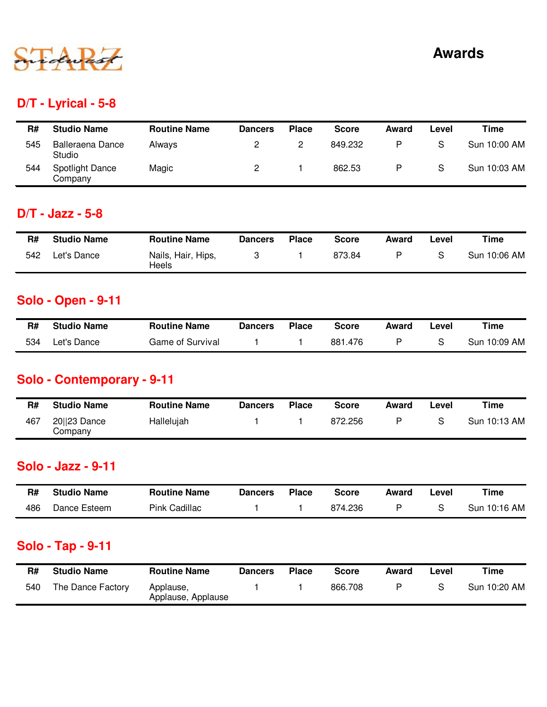

### **D/T - Lyrical - 5-8**

| R#  | <b>Studio Name</b>                | <b>Routine Name</b> | <b>Dancers</b> | <b>Place</b> | <b>Score</b> | Award | Level | Time         |
|-----|-----------------------------------|---------------------|----------------|--------------|--------------|-------|-------|--------------|
| 545 | <b>Balleraena Dance</b><br>Studio | <b>Alwavs</b>       |                |              | 849.232      | P     | S     | Sun 10:00 AM |
| 544 | <b>Spotlight Dance</b><br>Company | Magic               |                |              | 862.53       | P     | S     | Sun 10:03 AM |

### **D/T - Jazz - 5-8**

| R#  | <b>Studio Name</b> | <b>Routine Name</b>         | <b>Dancers</b> | <b>Place</b> | <b>Score</b> | Award | Level | Time         |
|-----|--------------------|-----------------------------|----------------|--------------|--------------|-------|-------|--------------|
| 542 | Let's Dance        | Nails, Hair, Hips,<br>Heels |                |              | 873.84       | P     |       | Sun 10:06 AM |

### **Solo - Open - 9-11**

| R#  | <b>Studio Name</b> | <b>Routine Name</b> | <b>Dancers</b> | Place | Score   | Award | ∟evel | Time         |
|-----|--------------------|---------------------|----------------|-------|---------|-------|-------|--------------|
| 534 | ∟et's Dance        | Game of Survival    |                |       | 881.476 |       |       | Sun 10:09 AM |

# **Solo - Contemporary - 9-11**

| R#  | <b>Studio Name</b>        | <b>Routine Name</b> | <b>Dancers</b> | <b>Place</b> | <b>Score</b> | Award | Level | Time         |
|-----|---------------------------|---------------------|----------------|--------------|--------------|-------|-------|--------------|
| 467 | $20  23$ Dance<br>Company | Hallelujah          |                |              | 872.256      | D     |       | Sun 10:13 AM |

#### **Solo - Jazz - 9-11**

| R#  | <b>Studio Name</b> | <b>Routine Name</b> | Dancers | Place | Score   | Award | _evel | Time         |
|-----|--------------------|---------------------|---------|-------|---------|-------|-------|--------------|
| 486 | Dance Esteem       | Pink Cadillac       |         |       | 874.236 |       |       | Sun 10:16 AM |

### **Solo - Tap - 9-11**

| R#  | <b>Studio Name</b> | <b>Routine Name</b>             | <b>Dancers</b> | <b>Place</b> | <b>Score</b> | Award | ∟evel | Time         |
|-----|--------------------|---------------------------------|----------------|--------------|--------------|-------|-------|--------------|
| 540 | The Dance Factory  | Applause,<br>Applause, Applause |                |              | 866.708      |       |       | Sun 10:20 AM |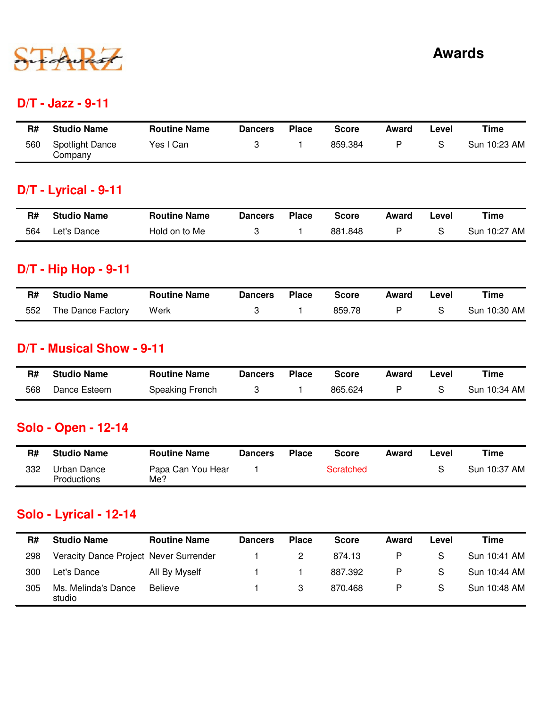

#### **D/T - Jazz - 9-11**

| R#  | <b>Studio Name</b>         | <b>Routine Name</b> | <b>Dancers</b> | <b>Place</b> | Score   | Award | ∟evel | Time         |
|-----|----------------------------|---------------------|----------------|--------------|---------|-------|-------|--------------|
| 560 | Spotlight Dance<br>Company | Yes I Can           |                |              | 859.384 | D     |       | Sun 10:23 AM |

## **D/T - Lyrical - 9-11**

| R#  | <b>Studio Name</b> | <b>Routine Name</b> | Dancers | <b>Place</b> | Score   | Award | -evel | Time         |
|-----|--------------------|---------------------|---------|--------------|---------|-------|-------|--------------|
| 564 | Let's Dance        | Hold on to Me       |         |              | 881.848 |       |       | Sun 10:27 AM |

### **D/T - Hip Hop - 9-11**

| R#  | <b>Studio Name</b> | <b>Routine Name</b> | <b>Dancers</b> | <b>Place</b> | <b>Score</b> | Award | Level | Time         |
|-----|--------------------|---------------------|----------------|--------------|--------------|-------|-------|--------------|
| 552 | The Dance Factory  | Werk                |                |              | 859.78       |       |       | Sun 10:30 AM |

#### **D/T - Musical Show - 9-11**

| R#  | <b>Studio Name</b> | <b>Routine Name</b> | Dancers | <b>Place</b> | <b>Score</b> | Award | ∟evel | Time         |
|-----|--------------------|---------------------|---------|--------------|--------------|-------|-------|--------------|
| 568 | Dance Esteem       | Speaking French     |         |              | 865.624      |       |       | Sun 10:34 AM |

## **Solo - Open - 12-14**

| R#  | <b>Studio Name</b>                | <b>Routine Name</b>      | Dancers | <b>Place</b> | Score     | Award | _evel | Time         |
|-----|-----------------------------------|--------------------------|---------|--------------|-----------|-------|-------|--------------|
| 332 | Urban Dance<br><b>Productions</b> | Papa Can You Hear<br>Me? |         |              | Scratched |       |       | Sun 10:37 AM |

## **Solo - Lyrical - 12-14**

| R#  | <b>Studio Name</b>                     | <b>Routine Name</b> | <b>Dancers</b> | <b>Place</b> | <b>Score</b> | Award | Level | Time         |
|-----|----------------------------------------|---------------------|----------------|--------------|--------------|-------|-------|--------------|
| 298 | Veracity Dance Project Never Surrender |                     |                |              | 874.13       | P     | S     | Sun 10:41 AM |
| 300 | Let's Dance                            | All By Myself       |                |              | 887.392      | P     | S     | Sun 10:44 AM |
| 305 | Ms. Melinda's Dance<br>studio          | <b>Believe</b>      |                | 3            | 870.468      | P     | S     | Sun 10:48 AM |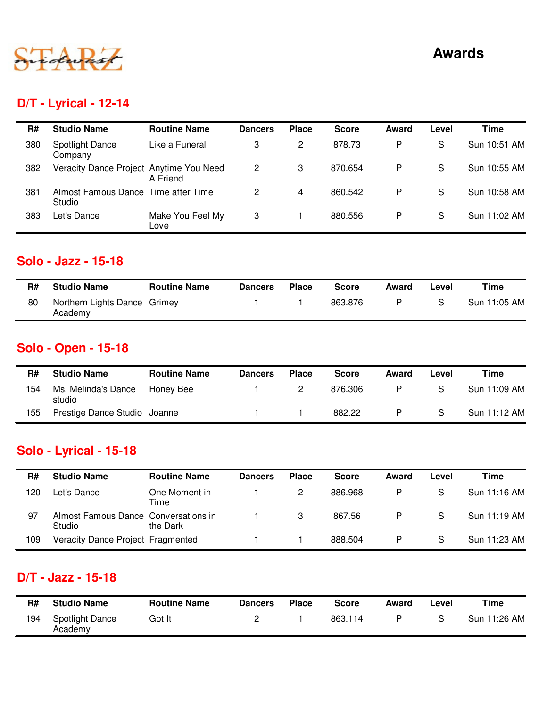

# **Awards**

# **D/T - Lyrical - 12-14**

| R#  | <b>Studio Name</b>                            | <b>Routine Name</b>      | <b>Dancers</b> | <b>Place</b> | <b>Score</b> | Award | Level | Time         |
|-----|-----------------------------------------------|--------------------------|----------------|--------------|--------------|-------|-------|--------------|
| 380 | Spotlight Dance<br>Company                    | Like a Funeral           | 3              | 2            | 878.73       | P     | S     | Sun 10:51 AM |
| 382 | Veracity Dance Project Anytime You Need       | A Friend                 | 2              | 3            | 870.654      | P     | S     | Sun 10:55 AM |
| 381 | Almost Famous Dance Time after Time<br>Studio |                          | 2              | 4            | 860.542      | P     | S     | Sun 10:58 AM |
| 383 | Let's Dance                                   | Make You Feel My<br>Love | 3              |              | 880.556      | P     | S     | Sun 11:02 AM |

#### **Solo - Jazz - 15-18**

| R# | <b>Studio Name</b>                      | <b>Routine Name</b> | <b>Dancers</b> | <b>Place</b> | <b>Score</b> | Award | Level | Time         |
|----|-----------------------------------------|---------------------|----------------|--------------|--------------|-------|-------|--------------|
| 80 | Northern Lights Dance Grimey<br>Academy |                     |                |              | 863.876      | D     |       | Sun 11:05 AM |

## **Solo - Open - 15-18**

| R#  | <b>Studio Name</b>            | <b>Routine Name</b> | <b>Dancers</b> | <b>Place</b> | <b>Score</b> | Award | Level | Time         |
|-----|-------------------------------|---------------------|----------------|--------------|--------------|-------|-------|--------------|
| 154 | Ms. Melinda's Dance<br>studio | Honey Bee           |                |              | 876.306      | P     | S     | Sun 11:09 AM |
| 155 | Prestige Dance Studio Joanne  |                     |                |              | 882.22       | P     | S     | Sun 11:12 AM |

# **Solo - Lyrical - 15-18**

| R#  | <b>Studio Name</b>                             | <b>Routine Name</b>   | <b>Dancers</b> | <b>Place</b> | <b>Score</b> | Award | Level | Time         |
|-----|------------------------------------------------|-----------------------|----------------|--------------|--------------|-------|-------|--------------|
| 120 | Let's Dance                                    | One Moment in<br>Time |                |              | 886.968      | P     | S     | Sun 11:16 AM |
| 97  | Almost Famous Dance Conversations in<br>Studio | the Dark              |                | -3           | 867.56       | P     | S     | Sun 11:19 AM |
| 109 | Veracity Dance Project Fragmented              |                       |                |              | 888.504      | P     | S     | Sun 11:23 AM |

## **D/T - Jazz - 15-18**

| R#  | <b>Studio Name</b>                | <b>Routine Name</b> | <b>Dancers</b> | <b>Place</b> | Score   | Award | Level | Time         |
|-----|-----------------------------------|---------------------|----------------|--------------|---------|-------|-------|--------------|
| 194 | <b>Spotlight Dance</b><br>Academy | Got It              |                |              | 863.114 | P     |       | Sun 11:26 AM |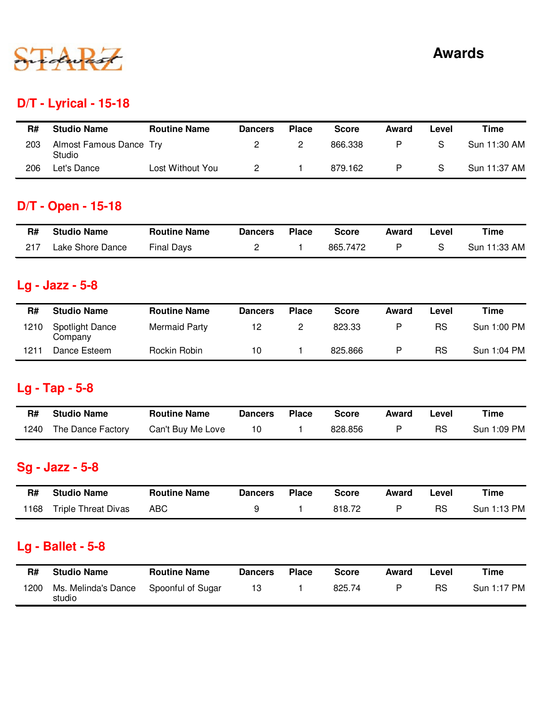

# **D/T - Lyrical - 15-18**

| R#  | <b>Studio Name</b>                | <b>Routine Name</b> | <b>Dancers</b> | <b>Place</b> | <b>Score</b> | Award | Level | Time         |
|-----|-----------------------------------|---------------------|----------------|--------------|--------------|-------|-------|--------------|
| 203 | Almost Famous Dance Try<br>Studio |                     |                |              | 866.338      | P     | S     | Sun 11:30 AM |
| 206 | Let's Dance                       | Lost Without You    |                |              | 879.162      |       | S     | Sun 11:37 AM |

## **D/T - Open - 15-18**

| R#  | <b>Studio Name</b> | <b>Routine Name</b> | <b>Dancers</b> | <b>Place</b> | <b>Score</b> | Award | Level | Time         |
|-----|--------------------|---------------------|----------------|--------------|--------------|-------|-------|--------------|
| 217 | Lake Shore Dance   | <b>Final Days</b>   |                |              | 865.7472     |       |       | Sun 11:33 AM |

# **Lg - Jazz - 5-8**

| R#   | <b>Studio Name</b>                | <b>Routine Name</b>  | <b>Dancers</b> | <b>Place</b> | <b>Score</b> | Award | Level | Time        |
|------|-----------------------------------|----------------------|----------------|--------------|--------------|-------|-------|-------------|
| 1210 | <b>Spotlight Dance</b><br>Company | <b>Mermaid Party</b> |                |              | 823.33       | P     | RS    | Sun 1:00 PM |
| 1211 | Dance Esteem                      | Rockin Robin         | 10             |              | 825.866      | D     | RS    | Sun 1:04 PM |

## **Lg - Tap - 5-8**

| R#   | <b>Studio Name</b> | <b>Routine Name</b> | <b>Dancers</b> | <b>Place</b> | <b>Score</b> | Award | Level | Time        |
|------|--------------------|---------------------|----------------|--------------|--------------|-------|-------|-------------|
| 1240 | The Dance Factory  | Can't Buy Me Love   | 10             |              | 828,856      |       | RS    | Sun 1:09 PM |

# **Sg - Jazz - 5-8**

| R#   | <b>Studio Name</b>         | <b>Routine Name</b> | <b>Dancers</b> | <b>Place</b> | <b>Score</b> | Award | Level | Time        |
|------|----------------------------|---------------------|----------------|--------------|--------------|-------|-------|-------------|
| 1168 | <b>Triple Threat Divas</b> | ABC                 |                |              | 818.72       |       | RS    | Sun 1:13 PM |

## **Lg - Ballet - 5-8**

| R#   | <b>Studio Name</b>            | <b>Routine Name</b> | Dancers | Place | Score  | Award | ∟evel | Time        |
|------|-------------------------------|---------------------|---------|-------|--------|-------|-------|-------------|
| 1200 | Ms. Melinda's Dance<br>studio | Spoonful of Sugar   | 13      |       | 825.74 |       | RS    | Sun 1:17 PM |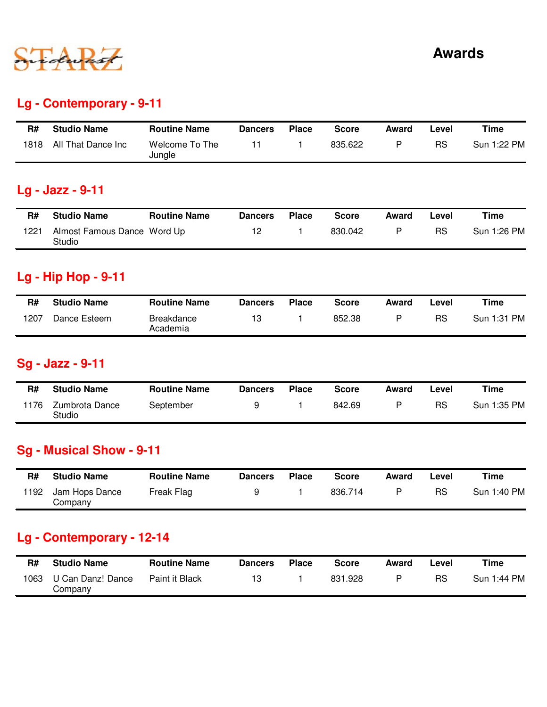

## **Lg - Contemporary - 9-11**

| R#   | <b>Studio Name</b> | <b>Routine Name</b>      | <b>Dancers</b> | <b>Place</b> | <b>Score</b> | Award | Level | Time        |
|------|--------------------|--------------------------|----------------|--------------|--------------|-------|-------|-------------|
| 1818 | All That Dance Inc | Welcome To The<br>Jungle |                |              | 835.622      | P     | RS    | Sun 1:22 PM |

## **Lg - Jazz - 9-11**

| R#   | <b>Studio Name</b>                    | <b>Routine Name</b> | <b>Dancers</b> | <b>Place</b> | <b>Score</b> | Award | ∟evel | Time        |
|------|---------------------------------------|---------------------|----------------|--------------|--------------|-------|-------|-------------|
| 1221 | Almost Famous Dance Word Up<br>Studio |                     |                |              | 830.042      |       | RS    | Sun 1:26 PM |

### **Lg - Hip Hop - 9-11**

| R#   | <b>Studio Name</b> | <b>Routine Name</b>           | <b>Dancers</b> | <b>Place</b> | <b>Score</b> | Award | ∟evel | Time        |
|------|--------------------|-------------------------------|----------------|--------------|--------------|-------|-------|-------------|
| 1207 | Dance Esteem       | <b>Breakdance</b><br>Academia |                |              | 852.38       |       | RS    | Sun 1:31 PM |

## **Sg - Jazz - 9-11**

| R#   | <b>Studio Name</b>       | <b>Routine Name</b> | Dancers | <b>Place</b> | <b>Score</b> | Award | ∟evel | Time        |
|------|--------------------------|---------------------|---------|--------------|--------------|-------|-------|-------------|
| 1176 | Zumbrota Dance<br>Studio | September           |         |              | 842.69       | D     | RS    | Sun 1:35 PM |

## **Sg - Musical Show - 9-11**

| R#   | <b>Studio Name</b>        | <b>Routine Name</b> | <b>Dancers</b> | <b>Place</b> | Score   | Award | Level | Time        |
|------|---------------------------|---------------------|----------------|--------------|---------|-------|-------|-------------|
| 1192 | Jam Hops Dance<br>Company | Freak Flag          |                |              | 836.714 |       | RS    | Sun 1:40 PM |

## **Lg - Contemporary - 12-14**

| R#   | <b>Studio Name</b>           | <b>Routine Name</b> | <b>Dancers</b> | <b>Place</b> | <b>Score</b> | Award | -evel | Time        |
|------|------------------------------|---------------------|----------------|--------------|--------------|-------|-------|-------------|
| 1063 | U Can Danz! Dance<br>Company | Paint it Black      |                |              | 831.928      | D     | RS    | Sun 1:44 PM |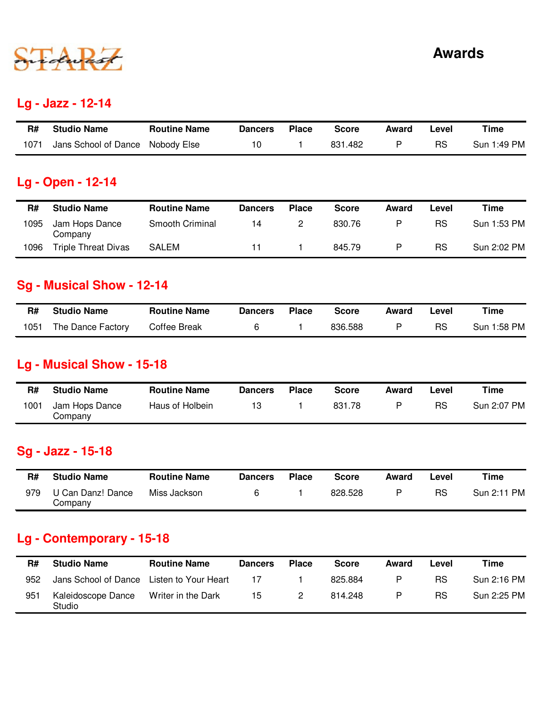

### **Lg - Jazz - 12-14**

| R#   | <b>Studio Name</b>               | <b>Routine Name</b> | <b>Dancers</b> | <b>Place</b> | <b>Score</b> | Award | Level     | Time        |
|------|----------------------------------|---------------------|----------------|--------------|--------------|-------|-----------|-------------|
| 1071 | Jans School of Dance Nobody Else |                     | 10             |              | 831.482      |       | <b>RS</b> | Sun 1:49 PM |

### **Lg - Open - 12-14**

| R#   | <b>Studio Name</b>         | <b>Routine Name</b>    | <b>Dancers</b> | <b>Place</b> | <b>Score</b> | Award | Level     | Time        |
|------|----------------------------|------------------------|----------------|--------------|--------------|-------|-----------|-------------|
| 1095 | Jam Hops Dance<br>Company  | <b>Smooth Criminal</b> | 14             |              | 830.76       | P     | RS        | Sun 1:53 PM |
| 1096 | <b>Triple Threat Divas</b> | <b>SALEM</b>           |                |              | 845.79       | P     | <b>RS</b> | Sun 2:02 PM |

### **Sg - Musical Show - 12-14**

| R#   | <b>Studio Name</b> | <b>Routine Name</b> | <b>Dancers</b> | <b>Place</b> | <b>Score</b> | Award | Level | Time        |
|------|--------------------|---------------------|----------------|--------------|--------------|-------|-------|-------------|
| 1051 | The Dance Factory  | Coffee Break        |                |              | 836.588      |       | RS    | Sun 1:58 PM |

### **Lg - Musical Show - 15-18**

| R#   | <b>Studio Name</b>        | <b>Routine Name</b> | <b>Dancers</b> | <b>Place</b> | <b>Score</b> | Award | ∟evel | Time        |
|------|---------------------------|---------------------|----------------|--------------|--------------|-------|-------|-------------|
| 1001 | Jam Hops Dance<br>Company | Haus of Holbein     |                |              | 831.78       | D     | RS    | Sun 2:07 PM |

### **Sg - Jazz - 15-18**

| R#  | <b>Studio Name</b>           | <b>Routine Name</b> | <b>Dancers</b> | <b>Place</b> | <b>Score</b> | Award | ∟evel | Time        |
|-----|------------------------------|---------------------|----------------|--------------|--------------|-------|-------|-------------|
| 979 | U Can Danz! Dance<br>Company | Miss Jackson        |                |              | 828.528      |       | RS    | Sun 2:11 PM |

## **Lg - Contemporary - 15-18**

| R#  | <b>Studio Name</b>                        | <b>Routine Name</b> | <b>Dancers</b> | <b>Place</b> | <b>Score</b> | Award | Level     | Time        |
|-----|-------------------------------------------|---------------------|----------------|--------------|--------------|-------|-----------|-------------|
| 952 | Jans School of Dance Listen to Your Heart |                     | 17             |              | 825.884      | P     | <b>RS</b> | Sun 2:16 PM |
| 951 | Kaleidoscope Dance<br>Studio              | Writer in the Dark  | 15             |              | 814.248      | P     | RS        | Sun 2:25 PM |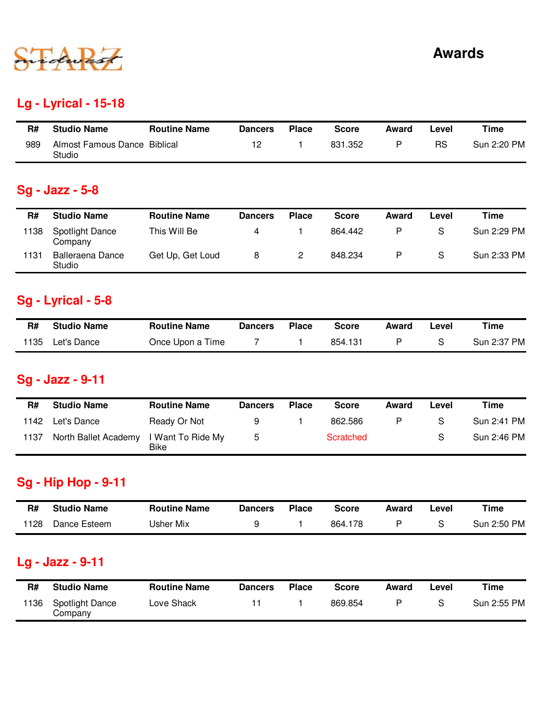

## **Lg - Lyrical - 15-18**

| R#  | <b>Studio Name</b>                     | <b>Routine Name</b> | <b>Dancers</b> | <b>Place</b> | Score   | Award | Level     | Time        |
|-----|----------------------------------------|---------------------|----------------|--------------|---------|-------|-----------|-------------|
| 989 | Almost Famous Dance Biblical<br>Studio |                     |                |              | 831.352 |       | <b>RS</b> | Sun 2:20 PM |

# **Sg - Jazz - 5-8**

| R#   | <b>Studio Name</b>         | <b>Routine Name</b> | <b>Dancers</b> | <b>Place</b> | <b>Score</b> | Award | Level | Time        |
|------|----------------------------|---------------------|----------------|--------------|--------------|-------|-------|-------------|
| 1138 | Spotlight Dance<br>Company | This Will Be        |                |              | 864.442      | P     | S     | Sun 2:29 PM |
| 1131 | Balleraena Dance<br>Studio | Get Up, Get Loud    | 8              |              | 848.234      | P     | S     | Sun 2:33 PM |

## **Sg - Lyrical - 5-8**

| R#   | <b>Studio Name</b> | <b>Routine Name</b> | <b>Dancers</b> | <b>Place</b> | <b>Score</b> | Award | Level | Time        |
|------|--------------------|---------------------|----------------|--------------|--------------|-------|-------|-------------|
| 1135 | Let's Dance        | Once Upon a Time    |                |              | 854.131      |       |       | Sun 2:37 PM |

## **Sg - Jazz - 9-11**

| R#   | <b>Studio Name</b>   | <b>Routine Name</b>              | <b>Dancers</b> | <b>Place</b> | <b>Score</b> | Award | Level | Time        |
|------|----------------------|----------------------------------|----------------|--------------|--------------|-------|-------|-------------|
| 1142 | Let's Dance          | Ready Or Not                     |                |              | 862.586      |       |       | Sun 2:41 PM |
| 1137 | North Ballet Academy | I Want To Ride My<br><b>Bike</b> | b.             |              | Scratched    |       | S     | Sun 2:46 PM |

## **Sg - Hip Hop - 9-11**

| R#   | <b>Studio Name</b> | <b>Routine Name</b> | <b>Dancers</b> | <b>Place</b> | <b>Score</b> | Award | _evel | Time        |
|------|--------------------|---------------------|----------------|--------------|--------------|-------|-------|-------------|
| 1128 | Dance Esteem       | Jsher Mix           |                |              | 864.178      |       |       | Sun 2:50 PM |

## **Lg - Jazz - 9-11**

| R#   | <b>Studio Name</b>                | <b>Routine Name</b> | <b>Dancers</b> | <b>Place</b> | <b>Score</b> | Award | -evel | Time        |
|------|-----------------------------------|---------------------|----------------|--------------|--------------|-------|-------|-------------|
| 1136 | <b>Spotlight Dance</b><br>Company | Love Shack          |                |              | 869.854      | D     |       | Sun 2:55 PM |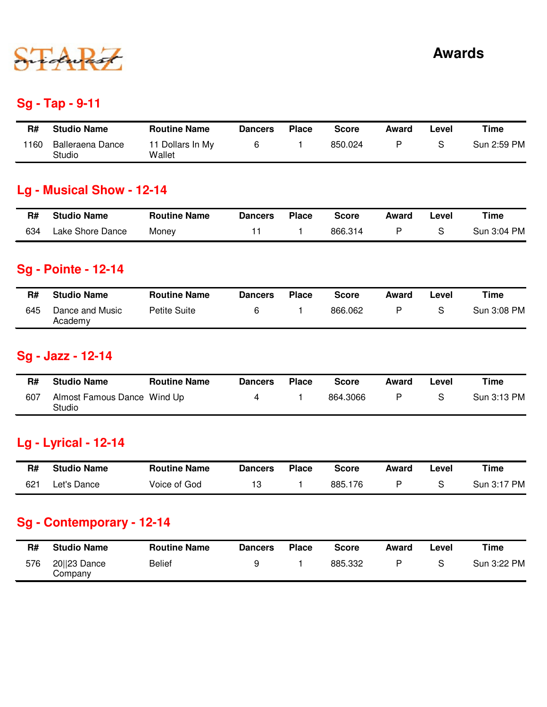

### **Sg - Tap - 9-11**

| R#   | <b>Studio Name</b>         | <b>Routine Name</b>        | <b>Dancers</b> | <b>Place</b> | Score   | Award | _evel | Time        |
|------|----------------------------|----------------------------|----------------|--------------|---------|-------|-------|-------------|
| 1160 | Balleraena Dance<br>Studio | 11 Dollars In My<br>Wallet |                |              | 850.024 |       |       | Sun 2:59 PM |

### **Lg - Musical Show - 12-14**

| R#  | <b>Studio Name</b> | <b>Routine Name</b> | <b>Dancers</b> | <b>Place</b> | Score   | Award | Level | Time        |
|-----|--------------------|---------------------|----------------|--------------|---------|-------|-------|-------------|
| 634 | Lake Shore Dance   | Money               |                |              | 866.314 |       |       | Sun 3:04 PM |

### **Sg - Pointe - 12-14**

| R#  | <b>Studio Name</b>         | <b>Routine Name</b> | <b>Dancers</b> | <b>Place</b> | <b>Score</b> | Award | ∟evel | Time        |
|-----|----------------------------|---------------------|----------------|--------------|--------------|-------|-------|-------------|
| 645 | Dance and Music<br>Academy | Petite Suite        |                |              | 866.062      |       | S     | Sun 3:08 PM |

## **Sg - Jazz - 12-14**

| R#  | <b>Studio Name</b>                    | <b>Routine Name</b> | Dancers | <b>Place</b> | <b>Score</b> | Award | Level | Time        |
|-----|---------------------------------------|---------------------|---------|--------------|--------------|-------|-------|-------------|
| 607 | Almost Famous Dance Wind Up<br>Studio |                     |         |              | 864.3066     | D     |       | Sun 3:13 PM |

### **Lg - Lyrical - 12-14**

| R#  | <b>Studio Name</b> | <b>Routine Name</b> | <b>Dancers</b> | Place | Score   | Award | -evel | Time        |
|-----|--------------------|---------------------|----------------|-------|---------|-------|-------|-------------|
| 621 | Let's Dance        | Voice of God        |                |       | 885.176 |       |       | Sun 3:17 PM |

## **Sg - Contemporary - 12-14**

| R#  | <b>Studio Name</b>      | <b>Routine Name</b> | <b>Dancers</b> | <b>Place</b> | <b>Score</b> | Award | Level | Time        |
|-----|-------------------------|---------------------|----------------|--------------|--------------|-------|-------|-------------|
| 576 | 20  23 Dance<br>Company | <b>Belief</b>       |                |              | 885.332      |       |       | Sun 3:22 PM |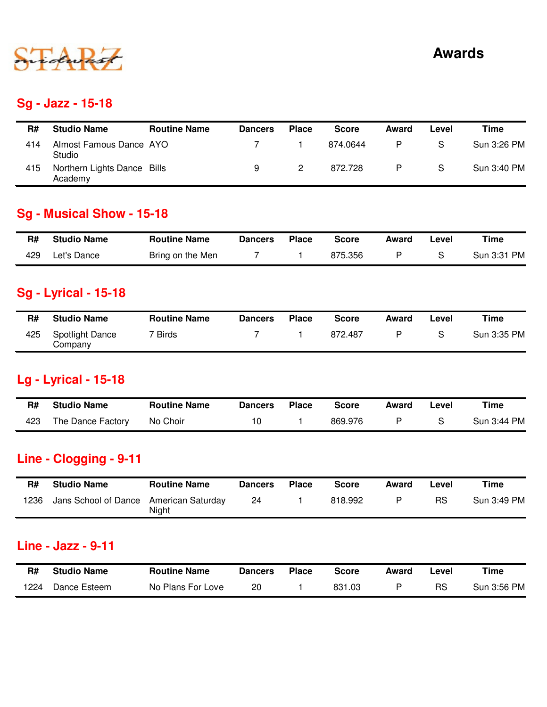

### **Sg - Jazz - 15-18**

| R#  | <b>Studio Name</b>                     | <b>Routine Name</b> | <b>Dancers</b> | <b>Place</b> | <b>Score</b> | Award | Level | Time        |
|-----|----------------------------------------|---------------------|----------------|--------------|--------------|-------|-------|-------------|
| 414 | Almost Famous Dance AYO<br>Studio      |                     |                |              | 874.0644     | P     | S     | Sun 3:26 PM |
| 415 | Northern Lights Dance Bills<br>Academy |                     |                |              | 872.728      | P     | S     | Sun 3:40 PM |

## **Sg - Musical Show - 15-18**

| R#  | <b>Studio Name</b> | <b>Routine Name</b> | <b>Dancers</b> | <b>Place</b> | Score   | Award | Level | Time        |
|-----|--------------------|---------------------|----------------|--------------|---------|-------|-------|-------------|
| 429 | Let's Dance        | Bring on the Men    |                |              | 875.356 |       |       | Sun 3:31 PM |

## **Sg - Lyrical - 15-18**

| R#  | <b>Studio Name</b>                | <b>Routine Name</b> | <b>Dancers</b> | <b>Place</b> | <b>Score</b> | Award | Level | Time        |
|-----|-----------------------------------|---------------------|----------------|--------------|--------------|-------|-------|-------------|
| 425 | <b>Spotlight Dance</b><br>Company | Birds               |                |              | 872.487      |       |       | Sun 3:35 PM |

## **Lg - Lyrical - 15-18**

| R#  | <b>Studio Name</b> | <b>Routine Name</b> | <b>Dancers</b> | <b>Place</b> | Score   | Award | Level | Time        |
|-----|--------------------|---------------------|----------------|--------------|---------|-------|-------|-------------|
| 423 | The Dance Factory  | No Choir            |                |              | 869.976 |       |       | Sun 3:44 PM |

## **Line - Clogging - 9-11**

| R#   | <b>Studio Name</b>                     | <b>Routine Name</b> | <b>Dancers</b> | <b>Place</b> | Score   | Award | Level | Time        |
|------|----------------------------------------|---------------------|----------------|--------------|---------|-------|-------|-------------|
| 1236 | Jans School of Dance American Saturday | Night               | 24             |              | 818.992 | D     | RS    | Sun 3:49 PM |

#### **Line - Jazz - 9-11**

| R#   | <b>Studio Name</b> | <b>Routine Name</b> | <b>Dancers</b> | <b>Place</b> | Score  | Award | -evel | Time        |
|------|--------------------|---------------------|----------------|--------------|--------|-------|-------|-------------|
| 1224 | Dance Esteem       | No Plans For Love   | 20             |              | 831.03 |       | RS    | Sun 3:56 PM |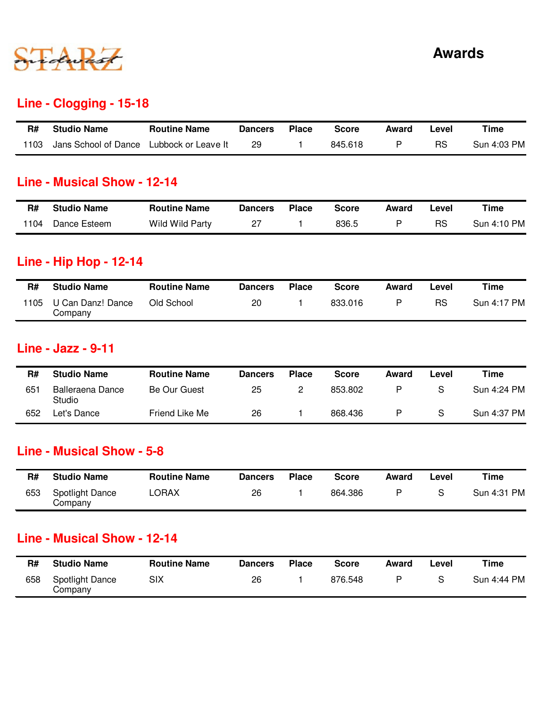

#### **Line - Clogging - 15-18**

| R#   | <b>Studio Name</b>                       | <b>Routine Name</b> | <b>Dancers</b> | <b>Place</b> | <b>Score</b> | Award | Level     | Time        |
|------|------------------------------------------|---------------------|----------------|--------------|--------------|-------|-----------|-------------|
| 1103 | Jans School of Dance Lubbock or Leave It |                     | 29             |              | 845.618      |       | <b>RS</b> | Sun 4:03 PM |

#### **Line - Musical Show - 12-14**

| R#   | <b>Studio Name</b> | <b>Routine Name</b> | <b>Dancers</b> | Place | <b>Score</b> | Award | Level | Time        |
|------|--------------------|---------------------|----------------|-------|--------------|-------|-------|-------------|
| 1104 | Dance Esteem       | Wild Wild Party     |                |       | 836.5        |       | RS    | Sun 4:10 PM |

#### **Line - Hip Hop - 12-14**

| R#   | <b>Studio Name</b>           | <b>Routine Name</b> | <b>Dancers</b> | <b>Place</b> | <b>Score</b> | Award | ∟evel | Time        |
|------|------------------------------|---------------------|----------------|--------------|--------------|-------|-------|-------------|
| 1105 | U Can Danz! Dance<br>Company | Old School          | 20             |              | 833.016      | D     | RS    | Sun 4:17 PM |

#### **Line - Jazz - 9-11**

| R#  | <b>Studio Name</b>                | <b>Routine Name</b> | <b>Dancers</b> | <b>Place</b> | <b>Score</b> | Award | ∟evel | Time        |
|-----|-----------------------------------|---------------------|----------------|--------------|--------------|-------|-------|-------------|
| 651 | <b>Balleraena Dance</b><br>Studio | Be Our Guest        | 25             |              | 853.802      |       | S     | Sun 4:24 PM |
| 652 | Let's Dance                       | Friend Like Me      | 26             |              | 868.436      | D     | S     | Sun 4:37 PM |

#### **Line - Musical Show - 5-8**

| R#  | <b>Studio Name</b>         | <b>Routine Name</b> | <b>Dancers</b> | <b>Place</b> | <b>Score</b> | Award | ∟evel | Time        |
|-----|----------------------------|---------------------|----------------|--------------|--------------|-------|-------|-------------|
| 653 | Spotlight Dance<br>Company | LORAX               | 26             |              | 864.386      |       |       | Sun 4:31 PM |

#### **Line - Musical Show - 12-14**

| R#  | <b>Studio Name</b>                | <b>Routine Name</b> | <b>Dancers</b> | <b>Place</b> | <b>Score</b> | Award | Level | Time        |
|-----|-----------------------------------|---------------------|----------------|--------------|--------------|-------|-------|-------------|
| 658 | <b>Spotlight Dance</b><br>Company | SIX                 | 26             |              | 876.548      |       |       | Sun 4:44 PM |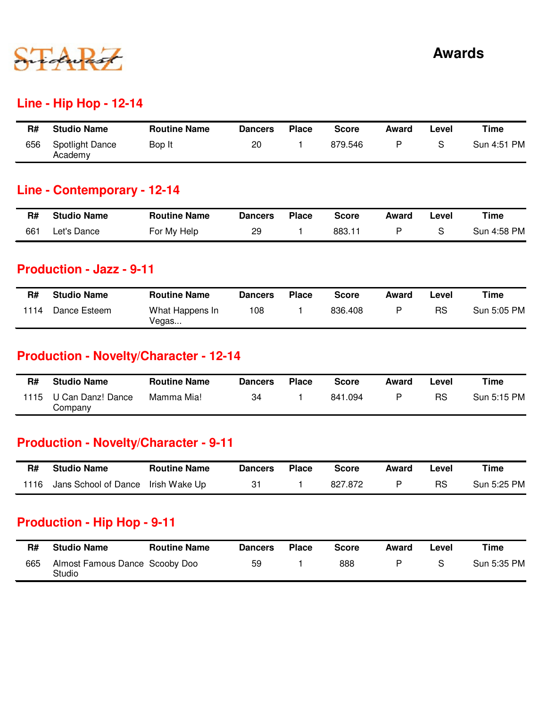

#### **Line - Hip Hop - 12-14**

| R#  | <b>Studio Name</b>         | <b>Routine Name</b> | <b>Dancers</b> | <b>Place</b> | Score   | Award | ∟evel | Time        |
|-----|----------------------------|---------------------|----------------|--------------|---------|-------|-------|-------------|
| 656 | Spotlight Dance<br>Academy | Bop It              | 20             |              | 879.546 |       |       | Sun 4:51 PM |

### **Line - Contemporary - 12-14**

| R#  | <b>Studio Name</b> | <b>Routine Name</b> | Dancers | <b>Place</b> | <b>Score</b> | Award | Level | Time        |
|-----|--------------------|---------------------|---------|--------------|--------------|-------|-------|-------------|
| 661 | Let's Dance        | For My Help         | 29      |              | 883.11       |       |       | Sun 4:58 PM |

#### **Production - Jazz - 9-11**

| R#   | <b>Studio Name</b> | <b>Routine Name</b>      | <b>Dancers</b> | <b>Place</b> | Score   | Award | Level | Time        |
|------|--------------------|--------------------------|----------------|--------------|---------|-------|-------|-------------|
| 1114 | Dance Esteem       | What Happens In<br>Vegas | 108            |              | 836.408 | D     | RS    | Sun 5:05 PM |

## **Production - Novelty/Character - 12-14**

| R#   | <b>Studio Name</b>           | <b>Routine Name</b> | Dancers | <b>Place</b> | <b>Score</b> | Award | ∟evel | Time        |
|------|------------------------------|---------------------|---------|--------------|--------------|-------|-------|-------------|
| 1115 | U Can Danz! Dance<br>Company | Mamma Mia!          | 34      |              | 841.094      |       | RS    | Sun 5:15 PM |

### **Production - Novelty/Character - 9-11**

| R#   | <b>Studio Name</b>                 | <b>Routine Name</b> | Dancers | <b>Place</b> | <b>Score</b> | Award | Level     | Time        |
|------|------------------------------------|---------------------|---------|--------------|--------------|-------|-----------|-------------|
| 1116 | Jans School of Dance Irish Wake Up |                     |         |              | 827.872      |       | <b>RS</b> | Sun 5:25 PM |

### **Production - Hip Hop - 9-11**

| R#  | <b>Studio Name</b>                       | <b>Routine Name</b> | <b>Dancers</b> | <b>Place</b> | <b>Score</b> | Award | ∟evel | Time        |
|-----|------------------------------------------|---------------------|----------------|--------------|--------------|-------|-------|-------------|
| 665 | Almost Famous Dance Scooby Doo<br>Studio |                     | 59             |              | 888          |       |       | Sun 5:35 PM |